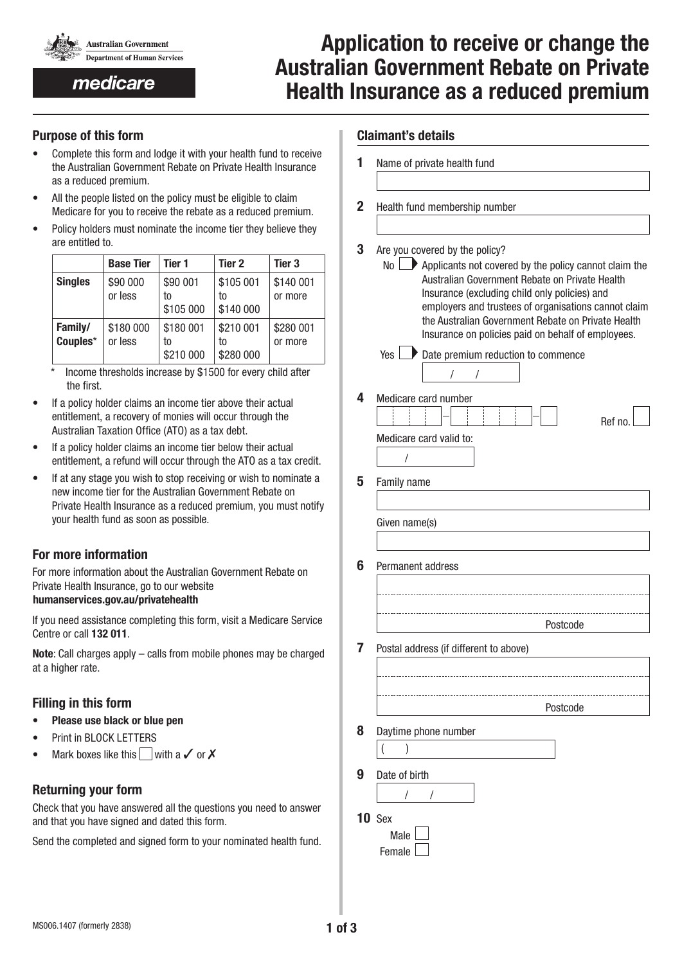

medicare

# **Application to receive or change the Australian Government Rebate on Private Health Insurance as a reduced premium**

# **Purpose of this form**

- Complete this form and lodge it with your health fund to receive the Australian Government Rebate on Private Health Insurance as a reduced premium.
- All the people listed on the policy must be eligible to claim Medicare for you to receive the rebate as a reduced premium.
- Policy holders must nominate the income tier they believe they are entitled to.

|                     | <b>Base Tier</b>     | Tier 1                       | Tier <sub>2</sub>            | Tier <sub>3</sub>    |
|---------------------|----------------------|------------------------------|------------------------------|----------------------|
| <b>Singles</b>      | \$90 000<br>or less  | \$90 001<br>t٥<br>\$105 000  | \$105 001<br>to<br>\$140 000 | \$140 001<br>or more |
| Family/<br>Couples* | \$180 000<br>or less | \$180 001<br>to<br>\$210 000 | \$210 001<br>to<br>\$280 000 | \$280 001<br>or more |

- Income thresholds increase by \$1500 for every child after the first.
- If a policy holder claims an income tier above their actual entitlement, a recovery of monies will occur through the Australian Taxation Office (ATO) as a tax debt.
- If a policy holder claims an income tier below their actual entitlement, a refund will occur through the ATO as a tax credit.
- If at any stage you wish to stop receiving or wish to nominate a new income tier for the Australian Government Rebate on Private Health Insurance as a reduced premium, you must notify your health fund as soon as possible.

# **For more information**

For more information about the Australian Government Rebate on Private Health Insurance, go to our website www.**humanservices.gov.au/privatehealth**

If you need assistance completing this form, visit a Medicare Service Centre or call **132 011**.

**Note**: Call charges apply – calls from mobile phones may be charged at a higher rate.

# **Filling in this form**

- **Please use black or blue pen**
- Print in BLOCK LETTERS
- Mark boxes like this with a  $\checkmark$  or  $\checkmark$

# **Returning your form**

Check that you have answered all the questions you need to answer and that you have signed and dated this form.

Send the completed and signed form to your nominated health fund.

### **Claimant's details**

- **1** Name of private health fund
- **2** Health fund membership number
- **3** Are you covered by the policy?
	- $\mathsf{No} \longrightarrow \mathsf{A}$  policants not covered by the policy cannot claim the Australian Government Rebate on Private Health Insurance (excluding child only policies) and employers and trustees of organisations cannot claim the Australian Government Rebate on Private Health Insurance on policies paid on behalf of employees.

|  | $Yes \bigsqcup$ Date premium reduction to commence |
|--|----------------------------------------------------|
|  |                                                    |

| Medicare card number |  |                          |  |  |  |  |
|----------------------|--|--------------------------|--|--|--|--|
|                      |  | $\overline{\phantom{a}}$ |  |  |  |  |

| Medicare card valid to: |  |  |
|-------------------------|--|--|
|                         |  |  |

**5** Family name

Given name(s)

**6** Permanent address

Postcode

**7** Postal address (if different to above)

| Postcode |  |
|----------|--|

| $10 \,$ Sex |  |
|-------------|--|
| Male        |  |
| Female      |  |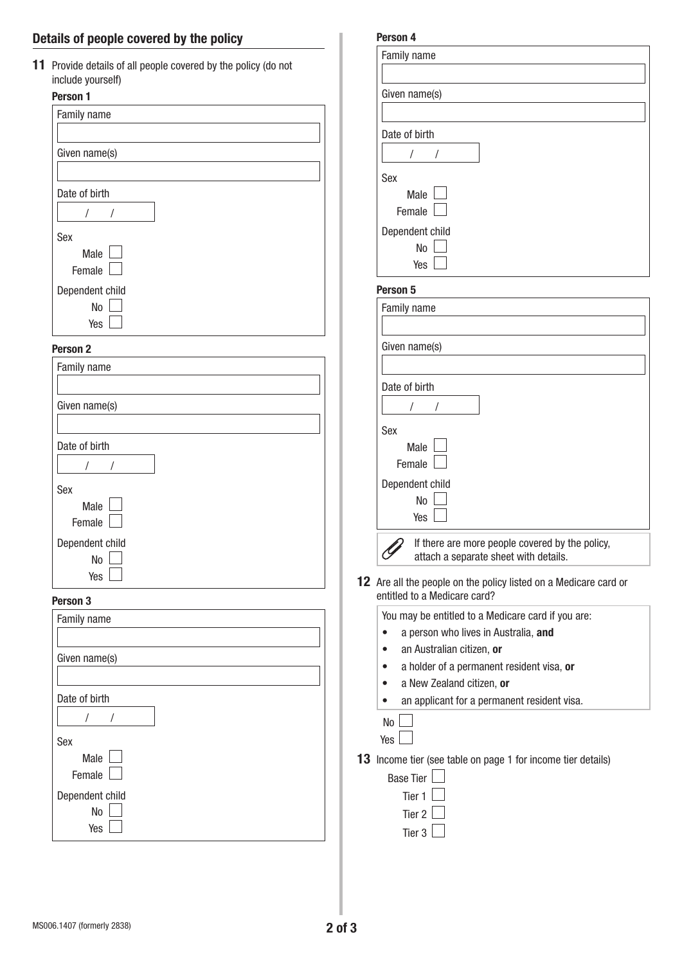# **Details of people covered by the policy**

| 11 Provide details of all people covered by the policy (do not |
|----------------------------------------------------------------|
| include yourself)                                              |

| Person 1                                       |
|------------------------------------------------|
| Family name                                    |
|                                                |
| Given name(s)                                  |
|                                                |
| Date of birth                                  |
| $\frac{1}{2}$                                  |
| Sex                                            |
| Male $\Box$                                    |
| Female                                         |
| Dependent child                                |
| No                                             |
| Yes [                                          |
| Person <sub>2</sub>                            |
| Family name                                    |
|                                                |
| Given name(s)                                  |
|                                                |
| Date of birth                                  |
| $\sqrt{2}$<br>$\prime$                         |
| Sex                                            |
| Male                                           |
| Female                                         |
| Dependent child                                |
| No                                             |
| Yes                                            |
| Person 3                                       |
| Family name                                    |
|                                                |
| Given name(s)                                  |
|                                                |
| Date of birth                                  |
| $\left  \begin{array}{cc} \end{array} \right $ |
| Sex                                            |
| Male $\Box$                                    |
| Female                                         |
| Dependent child                                |
| No                                             |
| Yes                                            |
|                                                |

| Person 4                                                                                 |
|------------------------------------------------------------------------------------------|
| Family name                                                                              |
|                                                                                          |
| Given name(s)                                                                            |
|                                                                                          |
| Date of birth                                                                            |
| $\prime$<br>T                                                                            |
| Sex                                                                                      |
| Male $\Box$                                                                              |
| Female L                                                                                 |
| Dependent child                                                                          |
| No                                                                                       |
| Yes $\lfloor$                                                                            |
| Person 5                                                                                 |
| Family name                                                                              |
|                                                                                          |
| Given name(s)                                                                            |
|                                                                                          |
| Date of birth                                                                            |
| $\prime$<br>1                                                                            |
| Sex                                                                                      |
| Male $\lfloor$                                                                           |
| Female L                                                                                 |
| Dependent child                                                                          |
| No                                                                                       |
| Yes                                                                                      |
| If there are more people covered by the policy,<br>attach a separate sheet with details. |

**12** Are all the people on the policy listed on a Medicare card or entitled to a Medicare card?

You may be entitled to a Medicare card if you are:

- • a person who lives in Australia, **and**
- • an Australian citizen, **or**
- • a holder of a permanent resident visa, **or**
- • a New Zealand citizen, **or**
- • an applicant for a permanent resident visa.

13 Income tier (see table on page 1 for income tier details)

| <b>Base Tier</b>  |  |
|-------------------|--|
| Tier <sub>1</sub> |  |
| Tier 2            |  |
| Tier <sub>3</sub> |  |